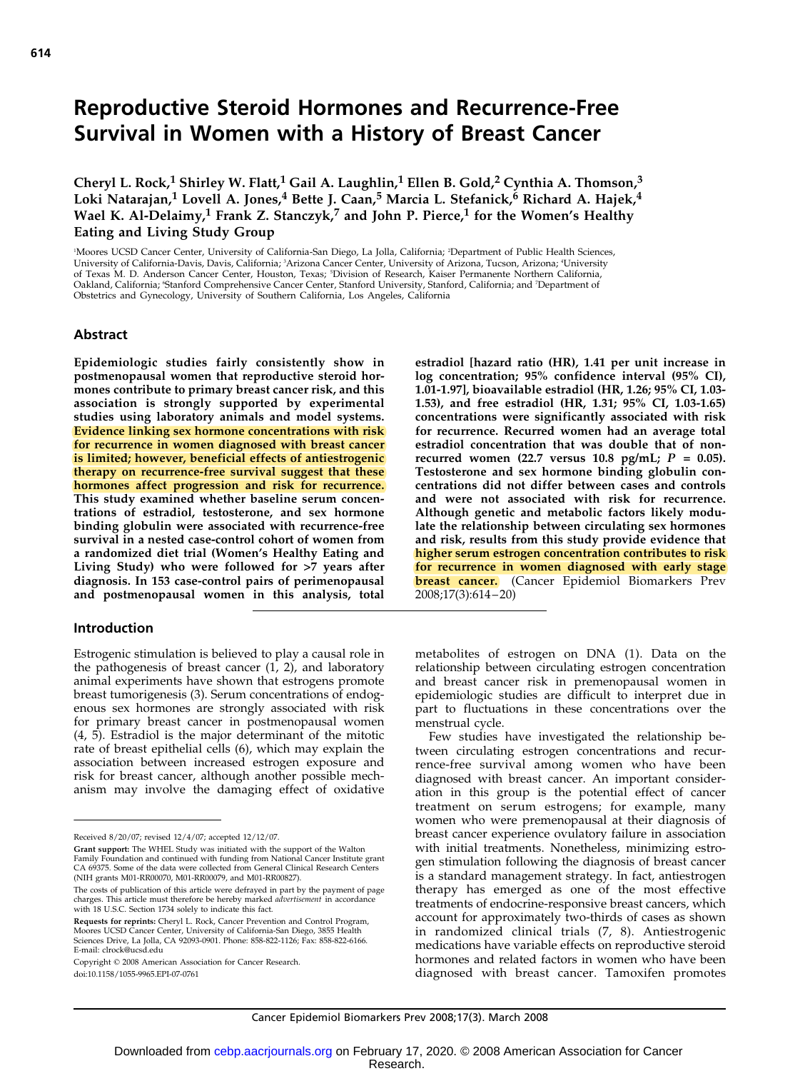# Reproductive Steroid Hormones and Recurrence-Free Survival in Women with a History of Breast Cancer

Cheryl L. Rock,<sup>1</sup> Shirley W. Flatt,<sup>1</sup> Gail A. Laughlin,<sup>1</sup> Ellen B. Gold,<sup>2</sup> Cynthia A. Thomson,<sup>3</sup> Loki Natarajan,<sup>1</sup> Lovell A. Jones,<sup>4</sup> Bette J. Caan,<sup>5</sup> Marcia L. Stefanick,<sup>6</sup> Richard A. Hajek,<sup>4</sup> Wael K. Al-Delaimy,<sup>1</sup> Frank Z. Stanczyk,<sup>7</sup> and John P. Pierce,<sup>1</sup> for the Women's Healthy Eating and Living Study Group

1 Moores UCSD Cancer Center, University of California-San Diego, La Jolla, California; <sup>2</sup> Department of Public Health Sciences, University of California-Davis, Davis, California; <sup>3</sup>Arizona Cancer Center, University of Arizona, Tucson, Arizona; 'University of Texas M. D. Anderson Cancer Center, Houston, Texas; <sup>5</sup> Division of Research, Kaiser Permanente Northern California, Oakland, California; 'Stanford Comprehensive Cancer Center, Stanford University, Stanford, California; and 'Department of Obstetrics and Gynecology, University of Southern California, Los Angeles, California

## Abstract

Epidemiologic studies fairly consistently show in postmenopausal women that reproductive steroid hormones contribute to primary breast cancer risk, and this association is strongly supported by experimental studies using laboratory animals and model systems. Evidence linking sex hormone concentrations with risk for recurrence in women diagnosed with breast cancer is limited; however, beneficial effects of antiestrogenic therapy on recurrence-free survival suggest that these hormones affect progression and risk for recurrence. This study examined whether baseline serum concentrations of estradiol, testosterone, and sex hormone binding globulin were associated with recurrence-free survival in a nested case-control cohort of women from a randomized diet trial (Women's Healthy Eating and Living Study) who were followed for >7 years after diagnosis. In 153 case-control pairs of perimenopausal and postmenopausal women in this analysis, total

#### Introduction

Estrogenic stimulation is believed to play a causal role in the pathogenesis of breast cancer  $(1, 2)$ , and laboratory animal experiments have shown that estrogens promote breast tumorigenesis (3). Serum concentrations of endogenous sex hormones are strongly associated with risk for primary breast cancer in postmenopausal women (4, 5). Estradiol is the major determinant of the mitotic rate of breast epithelial cells (6), which may explain the association between increased estrogen exposure and risk for breast cancer, although another possible mechanism may involve the damaging effect of oxidative

estradiol [hazard ratio (HR), 1.41 per unit increase in log concentration; 95% confidence interval (95% CI), 1.01-1.97], bioavailable estradiol (HR, 1.26; 95% CI, 1.03- 1.53), and free estradiol (HR, 1.31; 95% CI, 1.03-1.65) concentrations were significantly associated with risk for recurrence. Recurred women had an average total estradiol concentration that was double that of nonrecurred women (22.7 versus 10.8 pg/mL;  $P = 0.05$ ). Testosterone and sex hormone binding globulin concentrations did not differ between cases and controls and were not associated with risk for recurrence. Although genetic and metabolic factors likely modulate the relationship between circulating sex hormones and risk, results from this study provide evidence that higher serum estrogen concentration contributes to risk for recurrence in women diagnosed with early stage **breast cancer.** (Cancer Epidemiol Biomarkers Prev 2008;17(3):614 – 20)

metabolites of estrogen on DNA (1). Data on the relationship between circulating estrogen concentration and breast cancer risk in premenopausal women in epidemiologic studies are difficult to interpret due in part to fluctuations in these concentrations over the menstrual cycle.

Few studies have investigated the relationship between circulating estrogen concentrations and recurrence-free survival among women who have been diagnosed with breast cancer. An important consideration in this group is the potential effect of cancer treatment on serum estrogens; for example, many women who were premenopausal at their diagnosis of breast cancer experience ovulatory failure in association with initial treatments. Nonetheless, minimizing estrogen stimulation following the diagnosis of breast cancer is a standard management strategy. In fact, antiestrogen therapy has emerged as one of the most effective treatments of endocrine-responsive breast cancers, which account for approximately two-thirds of cases as shown in randomized clinical trials (7, 8). Antiestrogenic medications have variable effects on reproductive steroid hormones and related factors in women who have been diagnosed with breast cancer. Tamoxifen promotes

Received 8/20/07; revised 12/4/07; accepted 12/12/07.

Grant support: The WHEL Study was initiated with the support of the Walton Family Foundation and continued with funding from National Cancer Institute grant CA 69375. Some of the data were collected from General Clinical Research Centers (NIH grants M01-RR00070, M01-RR00079, and M01-RR00827).

The costs of publication of this article were defrayed in part by the payment of page charges. This article must therefore be hereby marked *advertisement* in accordance with 18 U.S.C. Section 1734 solely to indicate this fact.

Requests for reprints: Cheryl L. Rock, Cancer Prevention and Control Program, Moores UCSD Cancer Center, University of California-San Diego, 3855 Health Sciences Drive, La Jolla, CA 92093-0901. Phone: 858-822-1126; Fax: 858-822-6166. E-mail: clrock@ucsd.edu

Copyright © 2008 American Association for Cancer Research. doi:10.1158/1055-9965.EPI-07-0761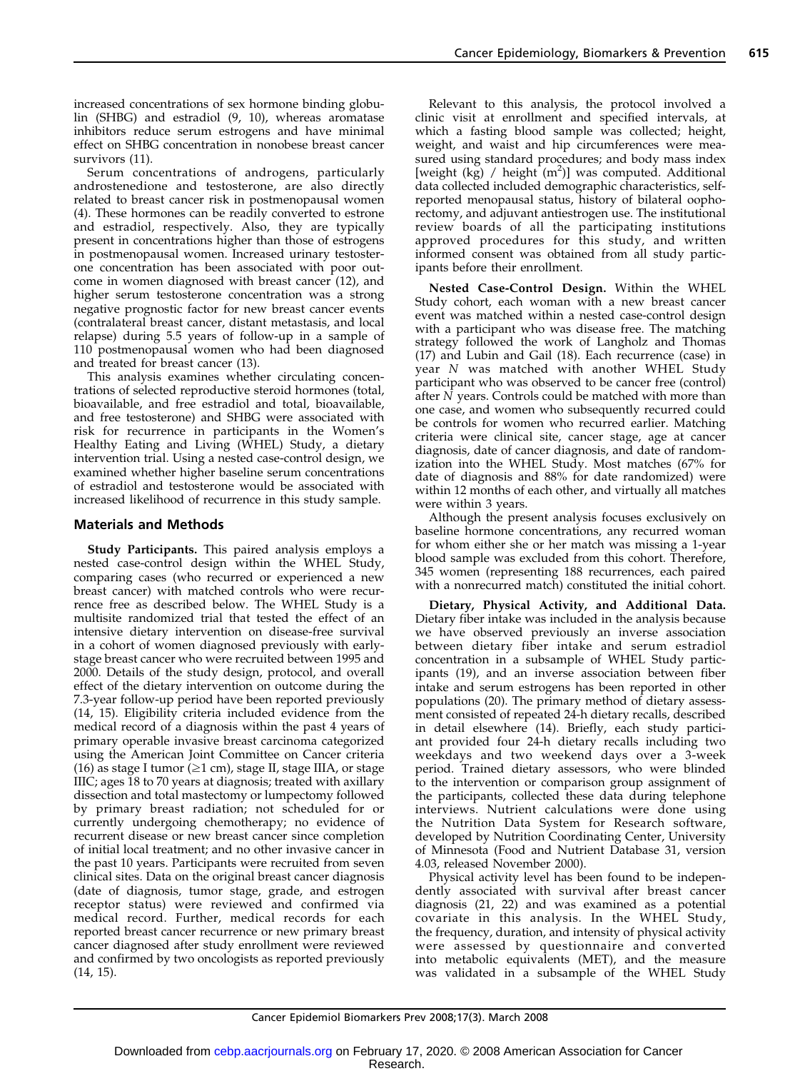increased concentrations of sex hormone binding globulin (SHBG) and estradiol (9, 10), whereas aromatase inhibitors reduce serum estrogens and have minimal effect on SHBG concentration in nonobese breast cancer survivors (11).

Serum concentrations of androgens, particularly androstenedione and testosterone, are also directly related to breast cancer risk in postmenopausal women (4). These hormones can be readily converted to estrone and estradiol, respectively. Also, they are typically present in concentrations higher than those of estrogens in postmenopausal women. Increased urinary testosterone concentration has been associated with poor outcome in women diagnosed with breast cancer (12), and higher serum testosterone concentration was a strong negative prognostic factor for new breast cancer events (contralateral breast cancer, distant metastasis, and local relapse) during 5.5 years of follow-up in a sample of 110 postmenopausal women who had been diagnosed and treated for breast cancer (13).

This analysis examines whether circulating concentrations of selected reproductive steroid hormones (total, bioavailable, and free estradiol and total, bioavailable, and free testosterone) and SHBG were associated with risk for recurrence in participants in the Women's Healthy Eating and Living (WHEL) Study, a dietary intervention trial. Using a nested case-control design, we examined whether higher baseline serum concentrations of estradiol and testosterone would be associated with increased likelihood of recurrence in this study sample.

# Materials and Methods

Study Participants. This paired analysis employs a nested case-control design within the WHEL Study, comparing cases (who recurred or experienced a new breast cancer) with matched controls who were recurrence free as described below. The WHEL Study is a multisite randomized trial that tested the effect of an intensive dietary intervention on disease-free survival in a cohort of women diagnosed previously with earlystage breast cancer who were recruited between 1995 and 2000. Details of the study design, protocol, and overall effect of the dietary intervention on outcome during the 7.3-year follow-up period have been reported previously (14, 15). Eligibility criteria included evidence from the medical record of a diagnosis within the past 4 years of primary operable invasive breast carcinoma categorized using the American Joint Committee on Cancer criteria (16) as stage I tumor ( $\geq$ 1 cm), stage II, stage IIIA, or stage IIIC; ages 18 to 70 years at diagnosis; treated with axillary dissection and total mastectomy or lumpectomy followed by primary breast radiation; not scheduled for or currently undergoing chemotherapy; no evidence of recurrent disease or new breast cancer since completion of initial local treatment; and no other invasive cancer in the past 10 years. Participants were recruited from seven clinical sites. Data on the original breast cancer diagnosis (date of diagnosis, tumor stage, grade, and estrogen receptor status) were reviewed and confirmed via medical record. Further, medical records for each reported breast cancer recurrence or new primary breast cancer diagnosed after study enrollment were reviewed and confirmed by two oncologists as reported previously (14, 15).

Relevant to this analysis, the protocol involved a clinic visit at enrollment and specified intervals, at which a fasting blood sample was collected; height, weight, and waist and hip circumferences were measured using standard procedures; and body mass index [weight (kg) / height (m<sup>2</sup>)] was computed. Additional data collected included demographic characteristics, selfreported menopausal status, history of bilateral oophorectomy, and adjuvant antiestrogen use. The institutional review boards of all the participating institutions approved procedures for this study, and written informed consent was obtained from all study participants before their enrollment.

Nested Case-Control Design. Within the WHEL Study cohort, each woman with a new breast cancer event was matched within a nested case-control design with a participant who was disease free. The matching strategy followed the work of Langholz and Thomas (17) and Lubin and Gail (18). Each recurrence (case) in year N was matched with another WHEL Study participant who was observed to be cancer free (control) after  $\overline{N}$  years. Controls could be matched with more than one case, and women who subsequently recurred could be controls for women who recurred earlier. Matching criteria were clinical site, cancer stage, age at cancer diagnosis, date of cancer diagnosis, and date of randomization into the WHEL Study. Most matches (67% for date of diagnosis and 88% for date randomized) were within 12 months of each other, and virtually all matches were within 3 years.

Although the present analysis focuses exclusively on baseline hormone concentrations, any recurred woman for whom either she or her match was missing a 1-year blood sample was excluded from this cohort. Therefore, 345 women (representing 188 recurrences, each paired with a nonrecurred match) constituted the initial cohort.

Dietary, Physical Activity, and Additional Data. Dietary fiber intake was included in the analysis because we have observed previously an inverse association between dietary fiber intake and serum estradiol concentration in a subsample of WHEL Study participants (19), and an inverse association between fiber intake and serum estrogens has been reported in other populations (20). The primary method of dietary assessment consisted of repeated 24-h dietary recalls, described in detail elsewhere (14). Briefly, each study particiant provided four 24-h dietary recalls including two weekdays and two weekend days over a 3-week period. Trained dietary assessors, who were blinded to the intervention or comparison group assignment of the participants, collected these data during telephone interviews. Nutrient calculations were done using the Nutrition Data System for Research software, developed by Nutrition Coordinating Center, University of Minnesota (Food and Nutrient Database 31, version 4.03, released November 2000).

Physical activity level has been found to be independently associated with survival after breast cancer diagnosis (21, 22) and was examined as a potential covariate in this analysis. In the WHEL Study, the frequency, duration, and intensity of physical activity were assessed by questionnaire and converted into metabolic equivalents (MET), and the measure was validated in a subsample of the WHEL Study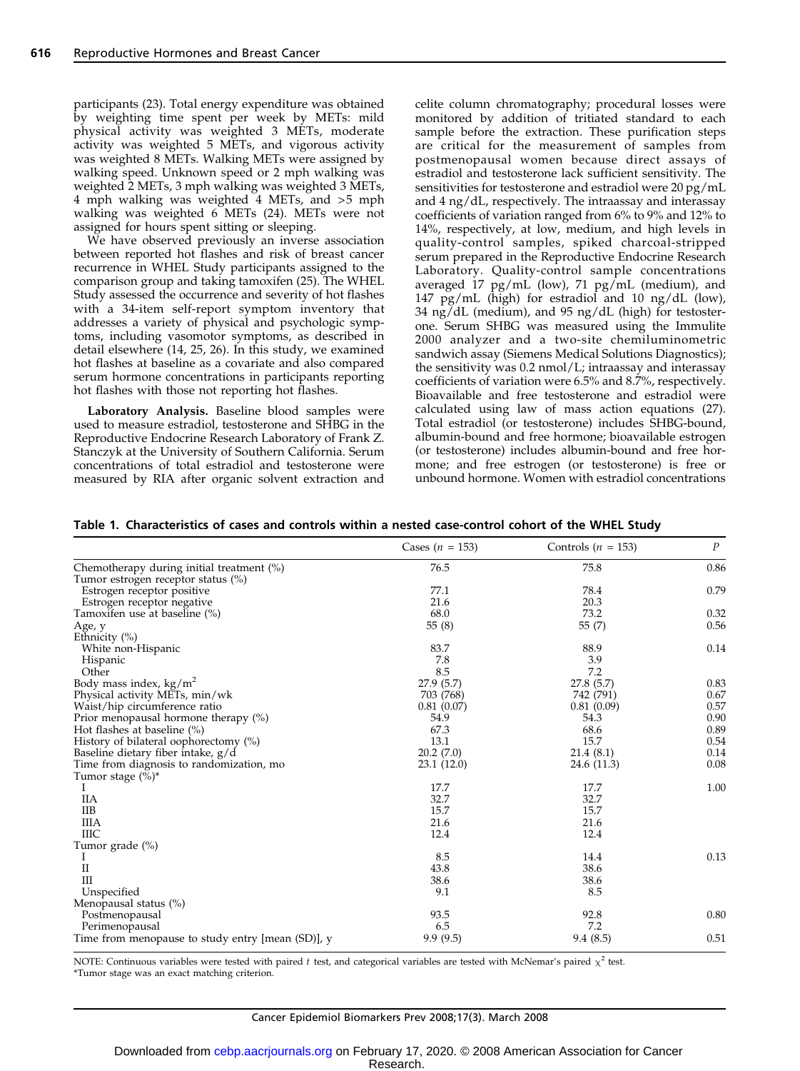participants (23). Total energy expenditure was obtained by weighting time spent per week by METs: mild physical activity was weighted 3 METs, moderate activity was weighted 5 METs, and vigorous activity was weighted 8 METs. Walking METs were assigned by walking speed. Unknown speed or 2 mph walking was weighted 2 METs, 3 mph walking was weighted 3 METs, 4 mph walking was weighted 4 METs, and >5 mph walking was weighted 6 METs (24). METs were not assigned for hours spent sitting or sleeping.

We have observed previously an inverse association between reported hot flashes and risk of breast cancer recurrence in WHEL Study participants assigned to the comparison group and taking tamoxifen (25). The WHEL Study assessed the occurrence and severity of hot flashes with a 34-item self-report symptom inventory that addresses a variety of physical and psychologic symptoms, including vasomotor symptoms, as described in detail elsewhere (14, 25, 26). In this study, we examined hot flashes at baseline as a covariate and also compared serum hormone concentrations in participants reporting hot flashes with those not reporting hot flashes.

Laboratory Analysis. Baseline blood samples were used to measure estradiol, testosterone and SHBG in the Reproductive Endocrine Research Laboratory of Frank Z. Stanczyk at the University of Southern California. Serum concentrations of total estradiol and testosterone were measured by RIA after organic solvent extraction and celite column chromatography; procedural losses were monitored by addition of tritiated standard to each sample before the extraction. These purification steps are critical for the measurement of samples from postmenopausal women because direct assays of estradiol and testosterone lack sufficient sensitivity. The sensitivities for testosterone and estradiol were 20 pg/mL and 4 ng/dL, respectively. The intraassay and interassay coefficients of variation ranged from 6% to 9% and 12% to 14%, respectively, at low, medium, and high levels in quality-control samples, spiked charcoal-stripped serum prepared in the Reproductive Endocrine Research Laboratory. Quality-control sample concentrations averaged 17 pg/mL (low), 71 pg/mL (medium), and 147 pg/mL (high) for estradiol and 10 ng/dL (low), 34 ng/dL (medium), and 95 ng/dL (high) for testosterone. Serum SHBG was measured using the Immulite 2000 analyzer and a two-site chemiluminometric sandwich assay (Siemens Medical Solutions Diagnostics); the sensitivity was 0.2 nmol/L; intraassay and interassay coefficients of variation were 6.5% and 8.7%, respectively. Bioavailable and free testosterone and estradiol were calculated using law of mass action equations (27). Total estradiol (or testosterone) includes SHBG-bound, albumin-bound and free hormone; bioavailable estrogen (or testosterone) includes albumin-bound and free hormone; and free estrogen (or testosterone) is free or unbound hormone. Women with estradiol concentrations

| Table 1. Characteristics of cases and controls within a nested case-control cohort of the WHEL Study |  |  |  |  |  |
|------------------------------------------------------------------------------------------------------|--|--|--|--|--|
|------------------------------------------------------------------------------------------------------|--|--|--|--|--|

|                                                   | Cases $(n = 153)$ | Controls ( $n = 153$ ) | $\boldsymbol{P}$ |
|---------------------------------------------------|-------------------|------------------------|------------------|
| Chemotherapy during initial treatment (%)         | 76.5              | 75.8                   | 0.86             |
| Tumor estrogen receptor status (%)                |                   |                        |                  |
| Estrogen receptor positive                        | 77.1              | 78.4                   | 0.79             |
| Estrogen receptor negative                        | 21.6              | 20.3                   |                  |
| Tamoxifen use at baseline (%)                     | 68.0              | 73.2                   | 0.32             |
| Age, y                                            | 55 $(8)$          | 55(7)                  | 0.56             |
| Ethnicity $(\%)$                                  |                   |                        |                  |
| White non-Hispanic                                | 83.7              | 88.9                   | 0.14             |
| Hispanic                                          | 7.8               | 3.9                    |                  |
| Other                                             | 8.5               | 7.2                    |                  |
| Body mass index, $\text{kg/m}^2$                  | 27.9(5.7)         | 27.8(5.7)              | 0.83             |
| Physical activity METs, min/wk                    | 703 (768)         | 742 (791)              | 0.67             |
| Waist/hip circumference ratio                     | 0.81(0.07)        | 0.81(0.09)             | 0.57             |
| Prior menopausal hormone therapy (%)              | 54.9              | 54.3                   | 0.90             |
| Hot flashes at baseline (%)                       | 67.3              | 68.6                   | 0.89             |
| History of bilateral oophorectomy (%)             | 13.1              | 15.7                   | 0.54             |
| Baseline dietary fiber intake, g/d                | 20.2(7.0)         | 21.4(8.1)              | 0.14             |
| Time from diagnosis to randomization, mo          | 23.1(12.0)        | 24.6 (11.3)            | 0.08             |
| Tumor stage (%)*                                  |                   |                        |                  |
| Ι                                                 | 17.7              | 17.7                   | 1.00             |
| <b>IIA</b>                                        | 32.7              | 32.7                   |                  |
| <b>IIB</b>                                        | 15.7              | 15.7                   |                  |
| <b>IIIA</b>                                       | 21.6              | 21.6                   |                  |
| IIIC                                              | 12.4              | 12.4                   |                  |
| Tumor grade (%)                                   |                   |                        |                  |
| $\perp$                                           | 8.5               | 14.4                   | 0.13             |
| $\mathbf{I}$                                      | 43.8              | 38.6                   |                  |
| III                                               | 38.6              | 38.6                   |                  |
| Unspecified                                       | 9.1               | 8.5                    |                  |
| Menopausal status (%)                             |                   |                        |                  |
| Postmenopausal                                    | 93.5              | 92.8                   | 0.80             |
| Perimenopausal                                    | 6.5               | 7.2                    |                  |
| Time from menopause to study entry [mean (SD)], y | 9.9(9.5)          | 9.4(8.5)               | 0.51             |

NOTE: Continuous variables were tested with paired t test, and categorical variables are tested with McNemar's paired  $\chi^2$  test. \*Tumor stage was an exact matching criterion.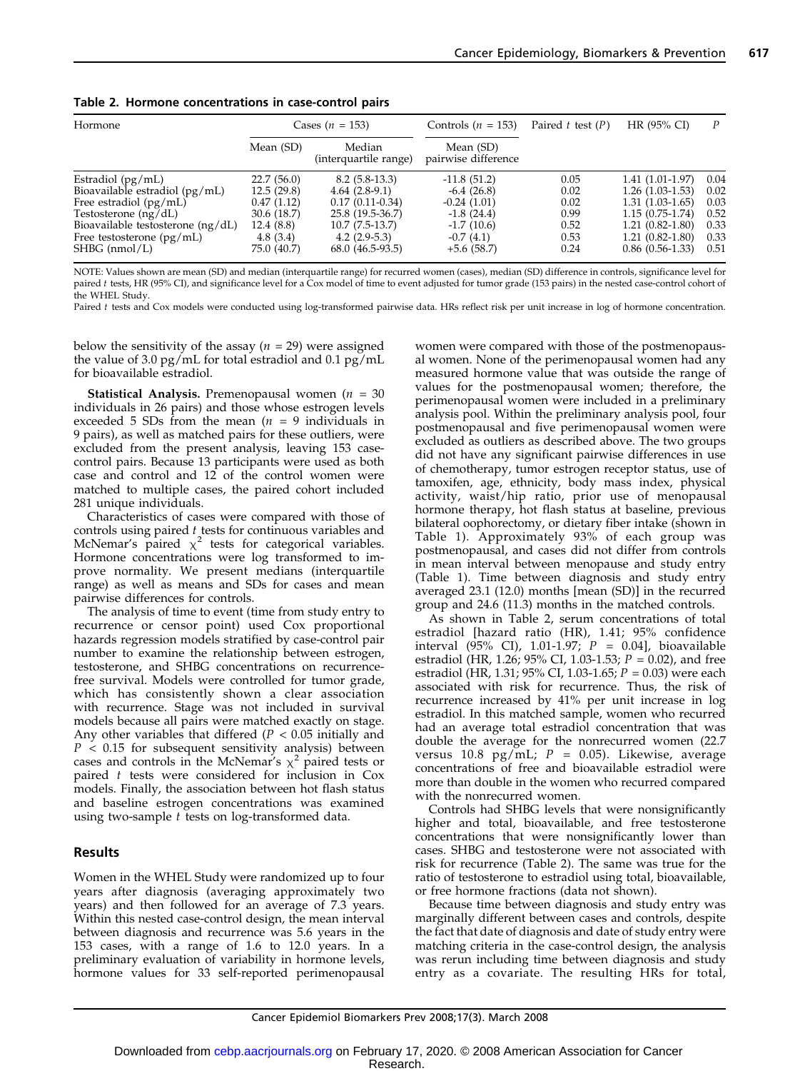Table 2. Hormone concentrations in case-control pairs

| Hormone                                                                                                                                                                         | Cases ( <i>n</i> = 153)                                                        |                                                                                                                   | Controls $(n = 153)$                                                                          | Paired $t$ test $(P)$                        | HR (95% CI)                                                                                                                    |                                              |
|---------------------------------------------------------------------------------------------------------------------------------------------------------------------------------|--------------------------------------------------------------------------------|-------------------------------------------------------------------------------------------------------------------|-----------------------------------------------------------------------------------------------|----------------------------------------------|--------------------------------------------------------------------------------------------------------------------------------|----------------------------------------------|
|                                                                                                                                                                                 | Mean (SD)                                                                      | Median<br>(interquartile range)                                                                                   | Mean (SD)<br>pairwise difference                                                              |                                              |                                                                                                                                |                                              |
| Estradiol $(pg/mL)$<br>Bioavailable estradiol $(pg/mL)$<br>Free estradiol $(pg/mL)$<br>Testosterone (ng/dL)<br>Bioavailable testosterone (ng/dL)<br>Free testosterone $(pg/mL)$ | 22.7(56.0)<br>12.5(29.8)<br>0.47(1.12)<br>30.6(18.7)<br>12.4 (8.8)<br>4.8(3.4) | $8.2(5.8-13.3)$<br>$4.64(2.8-9.1)$<br>$0.17(0.11-0.34)$<br>25.8 (19.5-36.7)<br>$10.7(7.5-13.7)$<br>$4.2(2.9-5.3)$ | $-11.8(51.2)$<br>$-6.4(26.8)$<br>$-0.24(1.01)$<br>$-1.8(24.4)$<br>$-1.7(10.6)$<br>$-0.7(4.1)$ | 0.05<br>0.02<br>0.02<br>0.99<br>0.52<br>0.53 | $1.41(1.01-1.97)$<br>$1.26(1.03-1.53)$<br>$1.31(1.03-1.65)$<br>$1.15(0.75-1.74)$<br>$1.21(0.82 - 1.80)$<br>$1.21(0.82 - 1.80)$ | 0.04<br>0.02<br>0.03<br>0.52<br>0.33<br>0.33 |
| $SHBG$ (nmol/L)                                                                                                                                                                 | 75.0 (40.7)                                                                    | $68.0(46.5-93.5)$                                                                                                 | $+5.6(58.7)$                                                                                  | 0.24                                         | $0.86(0.56-1.33)$                                                                                                              | 0.51                                         |

NOTE: Values shown are mean (SD) and median (interquartile range) for recurred women (cases), median (SD) difference in controls, significance level for paired t tests, HR (95% CI), and significance level for a Cox model of time to event adjusted for tumor grade (153 pairs) in the nested case-control cohort of the WHEL Study.

Paired t tests and Cox models were conducted using log-transformed pairwise data. HRs reflect risk per unit increase in log of hormone concentration.

below the sensitivity of the assay ( $n = 29$ ) were assigned the value of 3.0 pg/mL for total estradiol and 0.1 pg/mL for bioavailable estradiol.

**Statistical Analysis.** Premenopausal women ( $n = 30$ individuals in 26 pairs) and those whose estrogen levels exceeded 5 SDs from the mean ( $n = 9$  individuals in 9 pairs), as well as matched pairs for these outliers, were excluded from the present analysis, leaving 153 casecontrol pairs. Because 13 participants were used as both case and control and 12 of the control women were matched to multiple cases, the paired cohort included 281 unique individuals.

Characteristics of cases were compared with those of controls using paired t tests for continuous variables and McNemar's paired  $\chi^2$  tests for categorical variables. Hormone concentrations were log transformed to improve normality. We present medians (interquartile range) as well as means and SDs for cases and mean pairwise differences for controls.

The analysis of time to event (time from study entry to recurrence or censor point) used Cox proportional hazards regression models stratified by case-control pair number to examine the relationship between estrogen, testosterone, and SHBG concentrations on recurrencefree survival. Models were controlled for tumor grade, which has consistently shown a clear association with recurrence. Stage was not included in survival models because all pairs were matched exactly on stage. Any other variables that differed ( $P < 0.05$  initially and  $P < 0.15$  for subsequent sensitivity analysis) between cases and controls in the McNemar's  $\chi^2$  paired tests or paired t tests were considered for inclusion in Cox models. Finally, the association between hot flash status and baseline estrogen concentrations was examined using two-sample  $t$  tests on log-transformed data.

## Results

Women in the WHEL Study were randomized up to four years after diagnosis (averaging approximately two years) and then followed for an average of 7.3 years. Within this nested case-control design, the mean interval between diagnosis and recurrence was 5.6 years in the 153 cases, with a range of 1.6 to 12.0 years. In a preliminary evaluation of variability in hormone levels, hormone values for 33 self-reported perimenopausal women were compared with those of the postmenopausal women. None of the perimenopausal women had any measured hormone value that was outside the range of values for the postmenopausal women; therefore, the perimenopausal women were included in a preliminary analysis pool. Within the preliminary analysis pool, four postmenopausal and five perimenopausal women were excluded as outliers as described above. The two groups did not have any significant pairwise differences in use of chemotherapy, tumor estrogen receptor status, use of tamoxifen, age, ethnicity, body mass index, physical activity, waist/hip ratio, prior use of menopausal hormone therapy, hot flash status at baseline, previous bilateral oophorectomy, or dietary fiber intake (shown in Table 1). Approximately 93% of each group was postmenopausal, and cases did not differ from controls in mean interval between menopause and study entry (Table 1). Time between diagnosis and study entry averaged 23.1 (12.0) months [mean (SD)] in the recurred group and 24.6 (11.3) months in the matched controls.

As shown in Table 2, serum concentrations of total estradiol [hazard ratio (HR), 1.41; 95% confidence interval (95% CI), 1.01-1.97;  $P = 0.04$ ], bioavailable estradiol (HR, 1.26; 95% CI, 1.03-1.53;  $P = 0.02$ ), and free estradiol (HR, 1.31; 95% CI, 1.03-1.65;  $P = 0.03$ ) were each associated with risk for recurrence. Thus, the risk of recurrence increased by 41% per unit increase in log estradiol. In this matched sample, women who recurred had an average total estradiol concentration that was double the average for the nonrecurred women (22.7 versus 10.8 pg/mL;  $P = 0.05$ ). Likewise, average concentrations of free and bioavailable estradiol were more than double in the women who recurred compared with the nonrecurred women.

Controls had SHBG levels that were nonsignificantly higher and total, bioavailable, and free testosterone concentrations that were nonsignificantly lower than cases. SHBG and testosterone were not associated with risk for recurrence (Table 2). The same was true for the ratio of testosterone to estradiol using total, bioavailable, or free hormone fractions (data not shown).

Because time between diagnosis and study entry was marginally different between cases and controls, despite the fact that date of diagnosis and date of study entry were matching criteria in the case-control design, the analysis was rerun including time between diagnosis and study entry as a covariate. The resulting HRs for total,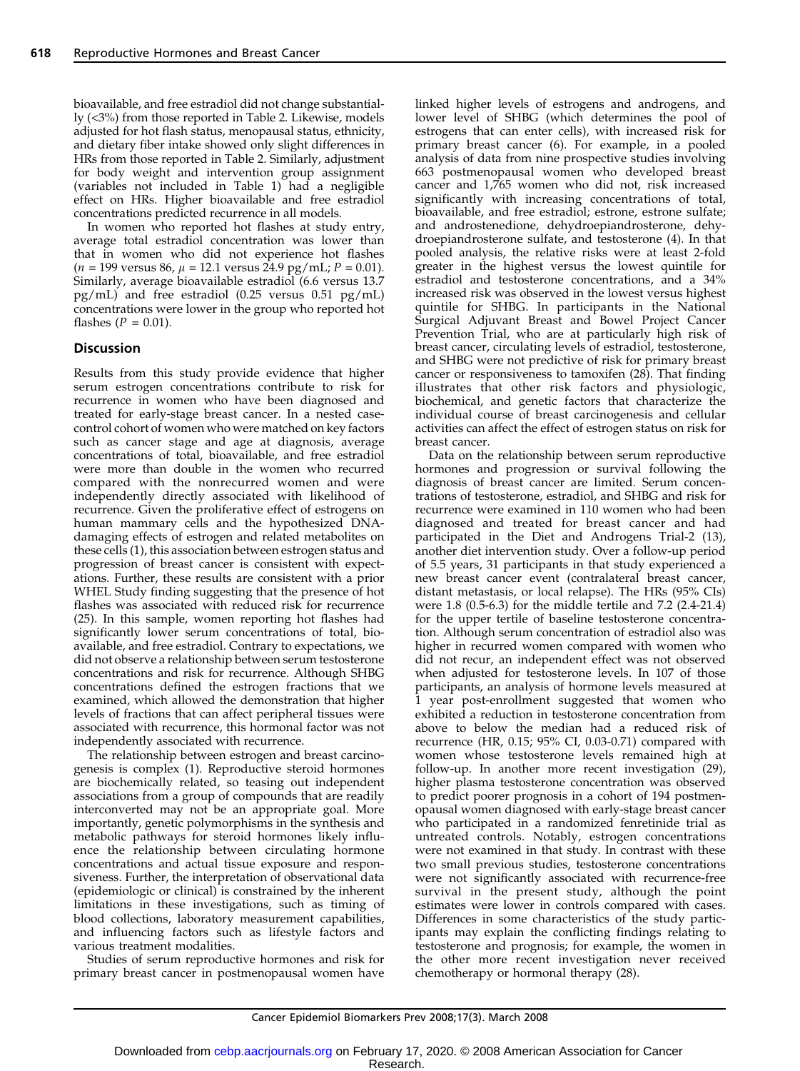bioavailable, and free estradiol did not change substantially (<3%) from those reported in Table 2. Likewise, models adjusted for hot flash status, menopausal status, ethnicity, and dietary fiber intake showed only slight differences in HRs from those reported in Table 2. Similarly, adjustment for body weight and intervention group assignment (variables not included in Table 1) had a negligible effect on HRs. Higher bioavailable and free estradiol concentrations predicted recurrence in all models.

In women who reported hot flashes at study entry, average total estradiol concentration was lower than that in women who did not experience hot flashes  $(n = 199 \text{ versus } 86, \mu = 12.1 \text{ versus } 24.9 \text{ pg/mL}; P = 0.01).$ Similarly, average bioavailable estradiol (6.6 versus 13.7 pg/mL) and free estradiol (0.25 versus 0.51 pg/mL) concentrations were lower in the group who reported hot flashes ( $P = 0.01$ ).

# **Discussion**

Results from this study provide evidence that higher serum estrogen concentrations contribute to risk for recurrence in women who have been diagnosed and treated for early-stage breast cancer. In a nested casecontrol cohort of women who were matched on key factors such as cancer stage and age at diagnosis, average concentrations of total, bioavailable, and free estradiol were more than double in the women who recurred compared with the nonrecurred women and were independently directly associated with likelihood of recurrence. Given the proliferative effect of estrogens on human mammary cells and the hypothesized DNAdamaging effects of estrogen and related metabolites on these cells (1), this association between estrogen status and progression of breast cancer is consistent with expectations. Further, these results are consistent with a prior WHEL Study finding suggesting that the presence of hot flashes was associated with reduced risk for recurrence (25). In this sample, women reporting hot flashes had significantly lower serum concentrations of total, bioavailable, and free estradiol. Contrary to expectations, we did not observe a relationship between serum testosterone concentrations and risk for recurrence. Although SHBG concentrations defined the estrogen fractions that we examined, which allowed the demonstration that higher levels of fractions that can affect peripheral tissues were associated with recurrence, this hormonal factor was not independently associated with recurrence.

The relationship between estrogen and breast carcinogenesis is complex (1). Reproductive steroid hormones are biochemically related, so teasing out independent associations from a group of compounds that are readily interconverted may not be an appropriate goal. More importantly, genetic polymorphisms in the synthesis and metabolic pathways for steroid hormones likely influence the relationship between circulating hormone concentrations and actual tissue exposure and responsiveness. Further, the interpretation of observational data (epidemiologic or clinical) is constrained by the inherent limitations in these investigations, such as timing of blood collections, laboratory measurement capabilities, and influencing factors such as lifestyle factors and various treatment modalities.

Studies of serum reproductive hormones and risk for primary breast cancer in postmenopausal women have linked higher levels of estrogens and androgens, and lower level of SHBG (which determines the pool of estrogens that can enter cells), with increased risk for primary breast cancer (6). For example, in a pooled analysis of data from nine prospective studies involving 663 postmenopausal women who developed breast cancer and 1,765 women who did not, risk increased significantly with increasing concentrations of total, bioavailable, and free estradiol; estrone, estrone sulfate; and androstenedione, dehydroepiandrosterone, dehydroepiandrosterone sulfate, and testosterone (4). In that pooled analysis, the relative risks were at least 2-fold greater in the highest versus the lowest quintile for estradiol and testosterone concentrations, and a 34% increased risk was observed in the lowest versus highest quintile for SHBG. In participants in the National Surgical Adjuvant Breast and Bowel Project Cancer Prevention Trial, who are at particularly high risk of breast cancer, circulating levels of estradiol, testosterone, and SHBG were not predictive of risk for primary breast cancer or responsiveness to tamoxifen (28). That finding illustrates that other risk factors and physiologic, biochemical, and genetic factors that characterize the individual course of breast carcinogenesis and cellular activities can affect the effect of estrogen status on risk for breast cancer.

Data on the relationship between serum reproductive hormones and progression or survival following the diagnosis of breast cancer are limited. Serum concentrations of testosterone, estradiol, and SHBG and risk for recurrence were examined in 110 women who had been diagnosed and treated for breast cancer and had participated in the Diet and Androgens Trial-2 (13), another diet intervention study. Over a follow-up period of 5.5 years, 31 participants in that study experienced a new breast cancer event (contralateral breast cancer, distant metastasis, or local relapse). The HRs (95% CIs) were 1.8 (0.5-6.3) for the middle tertile and 7.2 (2.4-21.4) for the upper tertile of baseline testosterone concentration. Although serum concentration of estradiol also was higher in recurred women compared with women who did not recur, an independent effect was not observed when adjusted for testosterone levels. In 107 of those participants, an analysis of hormone levels measured at 1 year post-enrollment suggested that women who exhibited a reduction in testosterone concentration from above to below the median had a reduced risk of recurrence (HR, 0.15; 95% CI, 0.03-0.71) compared with women whose testosterone levels remained high at follow-up. In another more recent investigation (29), higher plasma testosterone concentration was observed to predict poorer prognosis in a cohort of 194 postmenopausal women diagnosed with early-stage breast cancer who participated in a randomized fenretinide trial as untreated controls. Notably, estrogen concentrations were not examined in that study. In contrast with these two small previous studies, testosterone concentrations were not significantly associated with recurrence-free survival in the present study, although the point estimates were lower in controls compared with cases. Differences in some characteristics of the study participants may explain the conflicting findings relating to testosterone and prognosis; for example, the women in the other more recent investigation never received chemotherapy or hormonal therapy (28).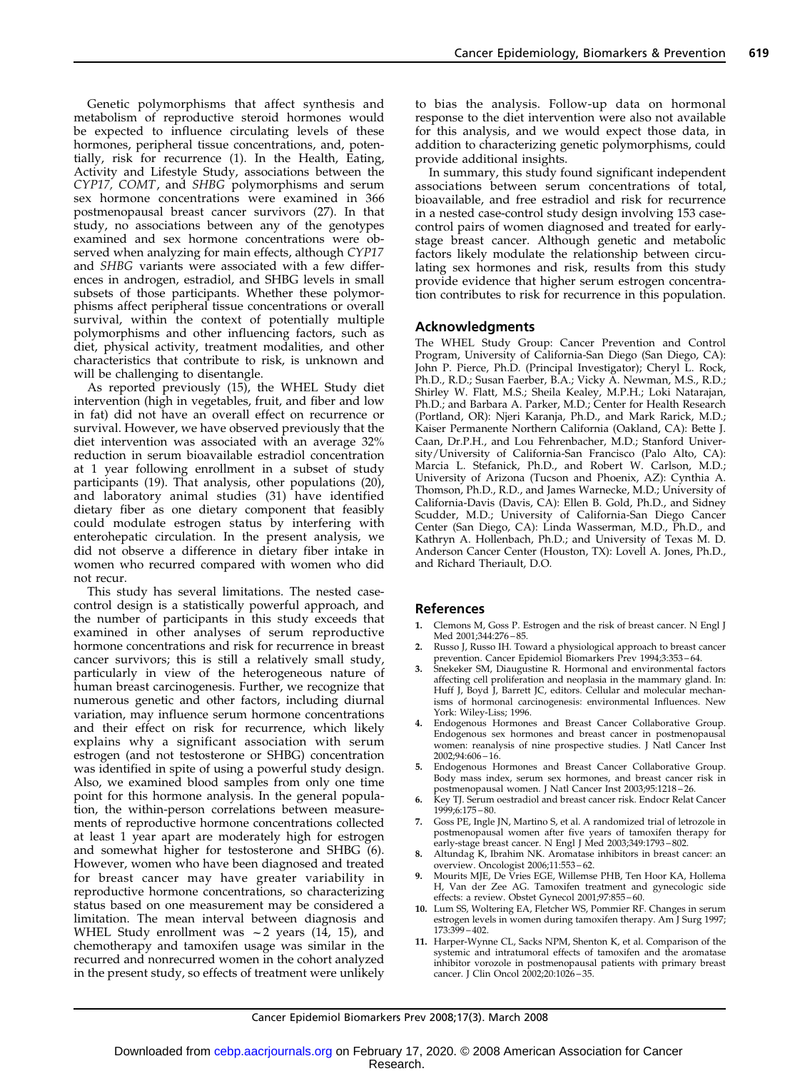Genetic polymorphisms that affect synthesis and metabolism of reproductive steroid hormones would be expected to influence circulating levels of these hormones, peripheral tissue concentrations, and, potentially, risk for recurrence (1). In the Health, Eating, Activity and Lifestyle Study, associations between the CYP17, COMT, and SHBG polymorphisms and serum sex hormone concentrations were examined in 366 postmenopausal breast cancer survivors (27). In that study, no associations between any of the genotypes examined and sex hormone concentrations were observed when analyzing for main effects, although CYP17 and SHBG variants were associated with a few differences in androgen, estradiol, and SHBG levels in small subsets of those participants. Whether these polymorphisms affect peripheral tissue concentrations or overall survival, within the context of potentially multiple polymorphisms and other influencing factors, such as diet, physical activity, treatment modalities, and other characteristics that contribute to risk, is unknown and will be challenging to disentangle.

As reported previously (15), the WHEL Study diet intervention (high in vegetables, fruit, and fiber and low in fat) did not have an overall effect on recurrence or survival. However, we have observed previously that the diet intervention was associated with an average 32% reduction in serum bioavailable estradiol concentration at 1 year following enrollment in a subset of study participants (19). That analysis, other populations (20), and laboratory animal studies (31) have identified dietary fiber as one dietary component that feasibly could modulate estrogen status by interfering with enterohepatic circulation. In the present analysis, we did not observe a difference in dietary fiber intake in women who recurred compared with women who did not recur.

This study has several limitations. The nested casecontrol design is a statistically powerful approach, and the number of participants in this study exceeds that examined in other analyses of serum reproductive hormone concentrations and risk for recurrence in breast cancer survivors; this is still a relatively small study, particularly in view of the heterogeneous nature of human breast carcinogenesis. Further, we recognize that numerous genetic and other factors, including diurnal variation, may influence serum hormone concentrations and their effect on risk for recurrence, which likely explains why a significant association with serum estrogen (and not testosterone or SHBG) concentration was identified in spite of using a powerful study design. Also, we examined blood samples from only one time point for this hormone analysis. In the general population, the within-person correlations between measurements of reproductive hormone concentrations collected at least 1 year apart are moderately high for estrogen and somewhat higher for testosterone and SHBG (6). However, women who have been diagnosed and treated for breast cancer may have greater variability in reproductive hormone concentrations, so characterizing status based on one measurement may be considered a limitation. The mean interval between diagnosis and WHEL Study enrollment was  $\sim$  2 years (14, 15), and chemotherapy and tamoxifen usage was similar in the recurred and nonrecurred women in the cohort analyzed in the present study, so effects of treatment were unlikely

to bias the analysis. Follow-up data on hormonal response to the diet intervention were also not available for this analysis, and we would expect those data, in addition to characterizing genetic polymorphisms, could provide additional insights.

In summary, this study found significant independent associations between serum concentrations of total, bioavailable, and free estradiol and risk for recurrence in a nested case-control study design involving 153 casecontrol pairs of women diagnosed and treated for earlystage breast cancer. Although genetic and metabolic factors likely modulate the relationship between circulating sex hormones and risk, results from this study provide evidence that higher serum estrogen concentration contributes to risk for recurrence in this population.

## Acknowledgments

The WHEL Study Group: Cancer Prevention and Control Program, University of California-San Diego (San Diego, CA): John P. Pierce, Ph.D. (Principal Investigator); Cheryl L. Rock, Ph.D., R.D.; Susan Faerber, B.A.; Vicky A. Newman, M.S., R.D.; Shirley W. Flatt, M.S.; Sheila Kealey, M.P.H.; Loki Natarajan, Ph.D.; and Barbara A. Parker, M.D.; Center for Health Research (Portland, OR): Njeri Karanja, Ph.D., and Mark Rarick, M.D.; Kaiser Permanente Northern California (Oakland, CA): Bette J. Caan, Dr.P.H., and Lou Fehrenbacher, M.D.; Stanford University/University of California-San Francisco (Palo Alto, CA): Marcia L. Stefanick, Ph.D., and Robert W. Carlson, M.D.; University of Arizona (Tucson and Phoenix, AZ): Cynthia A. Thomson, Ph.D., R.D., and James Warnecke, M.D.; University of California-Davis (Davis, CA): Ellen B. Gold, Ph.D., and Sidney Scudder, M.D.; University of California-San Diego Cancer Center (San Diego, CA): Linda Wasserman, M.D., Ph.D., and Kathryn A. Hollenbach, Ph.D.; and University of Texas M. D. Anderson Cancer Center (Houston, TX): Lovell A. Jones, Ph.D., and Richard Theriault, D.O.

#### References

- 1. Clemons M, Goss P. Estrogen and the risk of breast cancer. N Engl J Med 2001;344:276 – 85.
- Russo J, Russo IH. Toward a physiological approach to breast cancer
- prevention. Cancer Epidemiol Biomarkers Prev 1994;3:353 64. 3. Snekeker SM, Diaugustine R. Hormonal and environmental factors affecting cell proliferation and neoplasia in the mammary gland. In: Huff J, Boyd J, Barrett JC, editors. Cellular and molecular mechanisms of hormonal carcinogenesis: environmental Influences. New York: Wiley-Liss; 1996.
- 4. Endogenous Hormones and Breast Cancer Collaborative Group. Endogenous sex hormones and breast cancer in postmenopausal women: reanalysis of nine prospective studies. J Natl Cancer Inst 2002;94:606 – 16.
- 5. Endogenous Hormones and Breast Cancer Collaborative Group. Body mass index, serum sex hormones, and breast cancer risk in postmenopausal women. J Natl Cancer Inst 2003;95:1218 – 26.
- 6. Key TJ. Serum oestradiol and breast cancer risk. Endocr Relat Cancer 1999;6:175 – 80.
- 7. Goss PE, Ingle JN, Martino S, et al. A randomized trial of letrozole in postmenopausal women after five years of tamoxifen therapy for early-stage breast cancer. N Engl J Med 2003;349:1793 – 802.
- Altundag K, Ibrahim NK. Aromatase inhibitors in breast cancer: an overview. Oncologist 2006;11:553 – 62.
- 9. Mourits MJE, De Vries EGE, Willemse PHB, Ten Hoor KA, Hollema H, Van der Zee AG. Tamoxifen treatment and gynecologic side effects: a review. Obstet Gynecol 2001;97:855 – 60.
- 10. Lum SS, Woltering EA, Fletcher WS, Pommier RF. Changes in serum estrogen levels in women during tamoxifen therapy. Am J Surg 1997; 173:399 – 402.
- 11. Harper-Wynne CL, Sacks NPM, Shenton K, et al. Comparison of the systemic and intratumoral effects of tamoxifen and the aromatase inhibitor vorozole in postmenopausal patients with primary breast cancer. J Clin Oncol 2002;20:1026 – 35.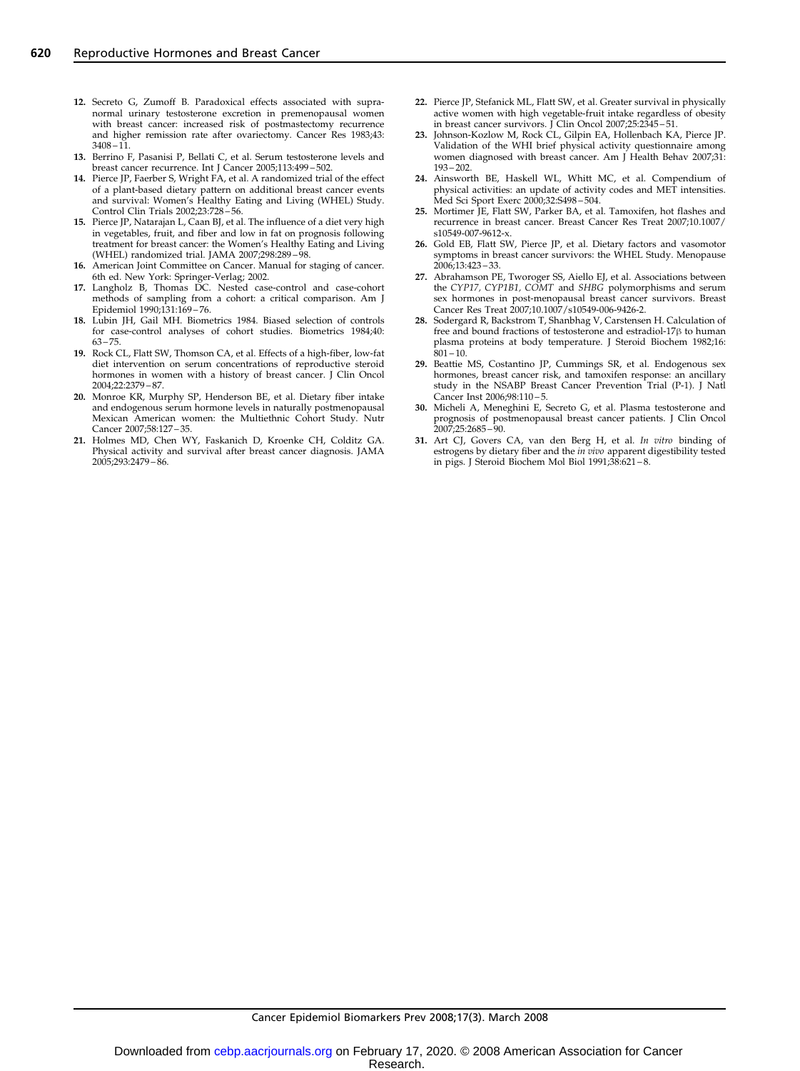- 12. Secreto G, Zumoff B. Paradoxical effects associated with supranormal urinary testosterone excretion in premenopausal women with breast cancer: increased risk of postmastectomy recurrence and higher remission rate after ovariectomy. Cancer Res 1983;43:  $3408 - 11$ .
- 13. Berrino F, Pasanisi P, Bellati C, et al. Serum testosterone levels and breast cancer recurrence. Int J Cancer 2005;113:499 – 502.
- 14. Pierce JP, Faerber S, Wright FA, et al. A randomized trial of the effect of a plant-based dietary pattern on additional breast cancer events and survival: Women's Healthy Eating and Living (WHEL) Study. Control Clin Trials 2002;23:728 – 56.
- 15. Pierce JP, Natarajan L, Caan BJ, et al. The influence of a diet very high in vegetables, fruit, and fiber and low in fat on prognosis following treatment for breast cancer: the Women's Healthy Eating and Living (WHEL) randomized trial. JAMA 2007;298:289 – 98.
- 16. American Joint Committee on Cancer. Manual for staging of cancer. 6th ed. New York: Springer-Verlag; 2002.
- 17. Langholz B, Thomas DC. Nested case-control and case-cohort methods of sampling from a cohort: a critical comparison. Am J Epidemiol 1990;131:169 – 76.
- 18. Lubin JH, Gail MH. Biometrics 1984. Biased selection of controls for case-control analyses of cohort studies. Biometrics 1984;40:  $63 - 75.$
- 19. Rock CL, Flatt SW, Thomson CA, et al. Effects of a high-fiber, low-fat diet intervention on serum concentrations of reproductive steroid hormones in women with a history of breast cancer. J Clin Oncol 2004;22:2379 – 87.
- 20. Monroe KR, Murphy SP, Henderson BE, et al. Dietary fiber intake and endogenous serum hormone levels in naturally postmenopausal Mexican American women: the Multiethnic Cohort Study. Nutr Cancer 2007;58:127 – 35.
- 21. Holmes MD, Chen WY, Faskanich D, Kroenke CH, Colditz GA. Physical activity and survival after breast cancer diagnosis. JAMA 2005;293:2479 – 86.
- 22. Pierce JP, Stefanick ML, Flatt SW, et al. Greater survival in physically active women with high vegetable-fruit intake regardless of obesity in breast cancer survivors. J Clin Oncol 2007;25:2345 – 51.
- 23. Johnson-Kozlow M, Rock CL, Gilpin EA, Hollenbach KA, Pierce JP. Validation of the WHI brief physical activity questionnaire among women diagnosed with breast cancer. Am J Health Behav 2007;31: 193 – 202.
- 24. Ainsworth BE, Haskell WL, Whitt MC, et al. Compendium of physical activities: an update of activity codes and MET intensities. Med Sci Sport Exerc 2000;32:S498 – 504.
- 25. Mortimer JE, Flatt SW, Parker BA, et al. Tamoxifen, hot flashes and recurrence in breast cancer. Breast Cancer Res Treat 2007;10.1007/ s10549-007-9612-x.
- 26. Gold EB, Flatt SW, Pierce JP, et al. Dietary factors and vasomotor symptoms in breast cancer survivors: the WHEL Study. Menopause 2006;13:423 – 33.
- 27. Abrahamson PE, Tworoger SS, Aiello EJ, et al. Associations between the CYP17, CYP1B1, COMT and SHBG polymorphisms and serum sex hormones in post-menopausal breast cancer survivors. Breast Cancer Res Treat 2007;10.1007/s10549-006-9426-2.
- 28. Sodergard R, Backstrom T, Shanbhag V, Carstensen H. Calculation of free and bound fractions of testosterone and estradiol-17 $\beta$  to human plasma proteins at body temperature. J Steroid Biochem 1982;16:  $\rm{801-10}$ .
- 29. Beattie MS, Costantino JP, Cummings SR, et al. Endogenous sex hormones, breast cancer risk, and tamoxifen response: an ancillary study in the NSABP Breast Cancer Prevention Trial (P-1). J Natl Cancer Inst 2006;98:110 – 5.
- 30. Micheli A, Meneghini E, Secreto G, et al. Plasma testosterone and prognosis of postmenopausal breast cancer patients. J Clin Oncol 2007;25:2685 – 90.
- 31. Art CJ, Govers CA, van den Berg H, et al. In vitro binding of estrogens by dietary fiber and the in vivo apparent digestibility tested in pigs. J Steroid Biochem Mol Biol 1991;38:621 – 8.